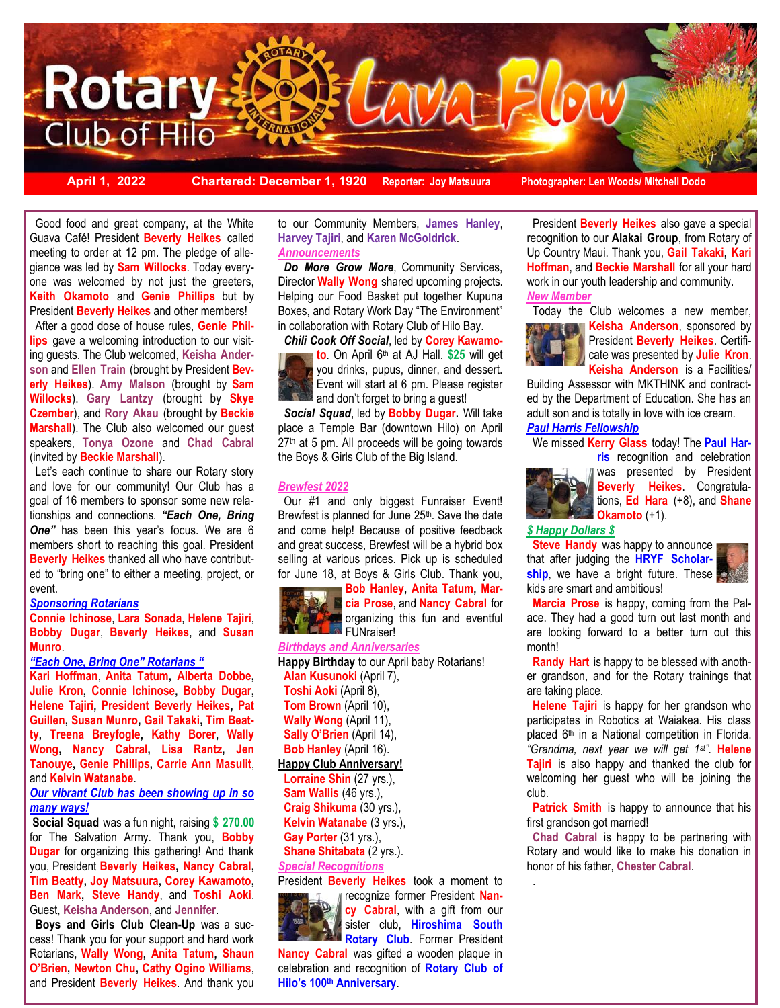

**April 1, 2022 Chartered: December 1, 1920 Reporter: Joy Matsuura Photographer: Len Woods/ Mitchell Dodo**

 one was welcomed by not just the greeters, Good food and great company, at the White Guava Café! President **Beverly Heikes** called meeting to order at 12 pm. The pledge of allegiance was led by **Sam Willocks**. Today every-**Keith Okamoto** and **Genie Phillips** but by President **Beverly Heikes** and other members! After a good dose of house rules, **Genie Phillips** gave a welcoming introduction to our visiting guests. The Club welcomed, **Keisha Anderson** and **Ellen Train** (brought by President **Beverly Heikes**). **Amy Malson** (brought by **Sam Willocks**). **Gary Lantzy** (brought by **Skye Czember**), and **Rory Akau** (brought by **Beckie Marshall**). The Club also welcomed our guest speakers, **Tonya Ozone** and **Chad Cabral**  (invited by **Beckie Marshall**).

 Let's each continue to share our Rotary story and love for our community! Our Club has a goal of 16 members to sponsor some new relationships and connections. *"Each One, Bring*  **One"** has been this year's focus. We are 6 members short to reaching this goal. President **Beverly Heikes** thanked all who have contributed to "bring one" to either a meeting, project, or event.

## *Sponsoring Rotarians*

**Connie Ichinose**, **Lara Sonada**, **Helene Tajiri**, **Bobby Dugar**, **Beverly Heikes**, and **Susan Munro**.

#### *"Each One, Bring One" Rotarians "*

**Kari Hoffman**, **Anita Tatum, Alberta Dobbe, Julie Kron, Connie Ichinose, Bobby Dugar, Helene Tajiri, President Beverly Heikes, Pat Guillen, Susan Munro, Gail Takaki, Tim Beatty, Treena Breyfogle, Kathy Borer, Wally Wong, Nancy Cabral, Lisa Rantz, Jen Tanouye, Genie Phillips, Carrie Ann Masulit**, and **Kelvin Watanabe**.

## *Our vibrant Club has been showing up in so many ways!*

**Social Squad** was a fun night, raising **\$ 270.00**  for The Salvation Army. Thank you, **Bobby Dugar** for organizing this gathering! And thank you, President **Beverly Heikes, Nancy Cabral, Tim Beatty, Joy Matsuura, Corey Kawamoto, Ben Mark, Steve Handy**, and **Toshi Aoki**. Guest, **Keisha Anderson**, and **Jennifer**.

 **Boys and Girls Club Clean-Up** was a success! Thank you for your support and hard work Rotarians, **Wally Wong, Anita Tatum, Shaun O'Brien, Newton Chu, Cathy Ogino Williams**, and President **Beverly Heikes**. And thank you

to our Community Members, **James Hanley**, **Harvey Tajiri**, and **Karen McGoldrick**. *Announcements*

 *Do More Grow More*, Community Services, Director **Wally Wong** shared upcoming projects. Helping our Food Basket put together Kupuna Boxes, and Rotary Work Day "The Environment" in collaboration with Rotary Club of Hilo Bay.

*Chili Cook Off Social*, led by **Corey Kawamo-**



**to**. On April 6th at AJ Hall. **\$25** will get you drinks, pupus, dinner, and dessert. Event will start at 6 pm. Please register and don't forget to bring a guest!

 *Social Squad*, led by **Bobby Dugar.** Will take place a Temple Bar (downtown Hilo) on April 27<sup>th</sup> at 5 pm. All proceeds will be going towards the Boys & Girls Club of the Big Island.

#### *Brewfest 2022*

 Our #1 and only biggest Funraiser Event! Brewfest is planned for June 25<sup>th</sup>. Save the date and come help! Because of positive feedback and great success, Brewfest will be a hybrid box selling at various prices. Pick up is scheduled for June 18, at Boys & Girls Club. Thank you,



**Bob Hanley, Anita Tatum, Marcia Prose**, and **Nancy Cabral** for organizing this fun and eventful **A** FUNraiser!

### *Birthdays and Anniversaries*

**Happy Birthday** to our April baby Rotarians! **Alan Kusunoki** (April 7), **Toshi Aoki** (April 8), **Tom Brown** (April 10), **Wally Wong** (April 11), **Sally O'Brien** (April 14), **Bob Hanley** (April 16). **Happy Club Anniversary! Lorraine Shin** (27 yrs.),

 **Sam Wallis** (46 yrs.), **Craig Shikuma** (30 yrs.), **Kelvin Watanabe** (3 yrs.), Gay Porter (31 yrs.), **Shane Shitabata** (2 yrs.). *Special Recognitions*

President **Beverly Heikes** took a moment to recognize former President **Nan-**



**cy Cabral**, with a gift from our sister club, **Hiroshima South Rotary Club.** Former President

**Nancy Cabral** was gifted a wooden plaque in celebration and recognition of **Rotary Club of Hilo's 100th Anniversary**.

 President **Beverly Heikes** also gave a special recognition to our **Alakai Group**, from Rotary of Up Country Maui. Thank you, **Gail Takaki, Kari Hoffman**, and **Beckie Marshall** for all your hard work in our youth leadership and community. *New Member* 



 Today the Club welcomes a new member, **Keisha Anderson**, sponsored by President **Beverly Heikes**. Certificate was presented by **Julie Kron**. **Keisha Anderson** is a Facilities/

Building Assessor with MKTHINK and contracted by the Department of Education. She has an adult son and is totally in love with ice cream. *Paul Harris Fellowship* 

## We missed **Kerry Glass** today! The **Paul Har-**

**ris** recognition and celebration



.

was presented by President **Beverly Heikes**. Congratulations, **Ed Hara** (+8), and **Shane Okamoto** (+1).

# *\$ Happy Dollars \$*

**Steve Handy** was happy to announce that after judging the **HRYF Scholar**ship, we have a bright future. These kids are smart and ambitious!



 **Marcia Prose** is happy, coming from the Palace. They had a good turn out last month and are looking forward to a better turn out this month!

 **Randy Hart** is happy to be blessed with another grandson, and for the Rotary trainings that are taking place.

 **Helene Tajiri** is happy for her grandson who participates in Robotics at Waiakea. His class placed 6<sup>th</sup> in a National competition in Florida. *"Grandma, next year we will get 1st".* **Helene Tajiri** is also happy and thanked the club for welcoming her guest who will be joining the club.

 **Patrick Smith** is happy to announce that his first grandson got married!

 **Chad Cabral** is happy to be partnering with Rotary and would like to make his donation in honor of his father, **Chester Cabral**.